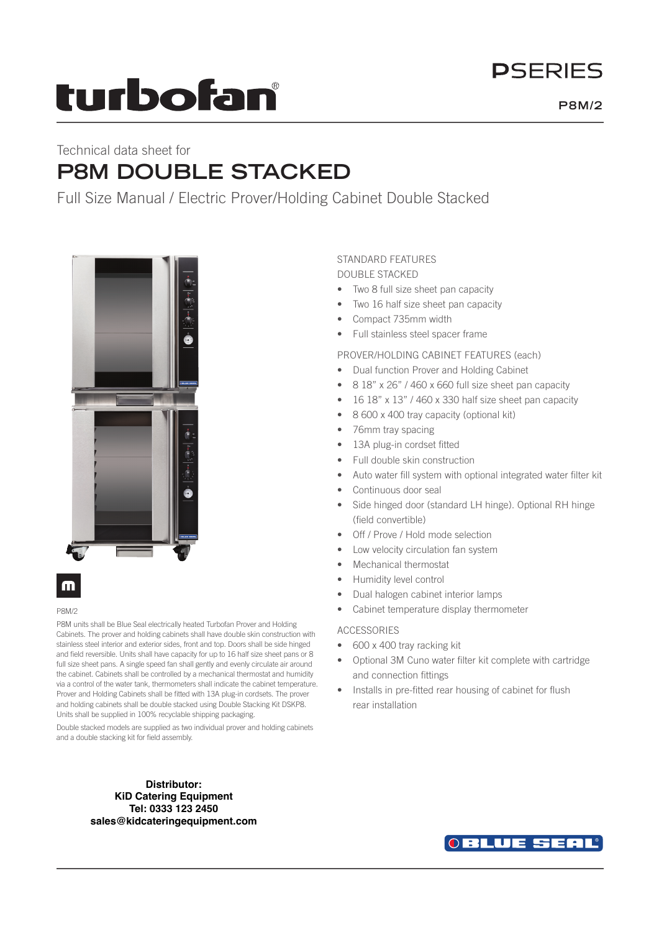# **DSFRIFS**

# turbofan

# Technical data sheet for **P8M DOUBLE STACKED**

Full Size Manual / Electric Prover/Holding Cabinet Double Stacked



## m

### P8M/2

P8M units shall be Blue Seal electrically heated Turbofan Prover and Holding Cabinets. The prover and holding cabinets shall have double skin construction with stainless steel interior and exterior sides, front and top. Doors shall be side hinged and field reversible. Units shall have capacity for up to 16 half size sheet pans or 8 full size sheet pans. A single speed fan shall gently and evenly circulate air around the cabinet. Cabinets shall be controlled by a mechanical thermostat and humidity via a control of the water tank, thermometers shall indicate the cabinet temperature. Prover and Holding Cabinets shall be fitted with 13A plug-in cordsets. The prover and holding cabinets shall be double stacked using Double Stacking Kit DSKP8. Units shall be supplied in 100% recyclable shipping packaging.

Double stacked models are supplied as two individual prover and holding cabinets and a double stacking kit for field assembly.

> **Distributor: KiD Catering Equipment Tel: 0333 123 2450 sales@kidcateringequipment.com**

## STANDARD FEATURES

DOUBLE STACKED

- Two 8 full size sheet pan capacity
- Two 16 half size sheet pan capacity
- Compact 735mm width
- Full stainless steel spacer frame

PROVER/HOLDING CABINET FEATURES (each)

- Dual function Prover and Holding Cabinet
- 8 18" x 26" / 460 x 660 full size sheet pan capacity
- 16 18" x 13" / 460 x 330 half size sheet pan capacity
- 8 600 x 400 tray capacity (optional kit)
- 76mm tray spacing
- 13A plug-in cordset fitted
	- Full double skin construction
	- Auto water fill system with optional integrated water filter kit
	- Continuous door seal
	- Side hinged door (standard LH hinge). Optional RH hinge (field convertible)
	- Off / Prove / Hold mode selection
	- Low velocity circulation fan system
	- Mechanical thermostat
	- Humidity level control
	- Dual halogen cabinet interior lamps
	- Cabinet temperature display thermometer

### ACCESSORIES

- 600 x 400 tray racking kit
- Optional 3M Cuno water filter kit complete with cartridge and connection fittings
- Installs in pre-fitted rear housing of cabinet for flush rear installation